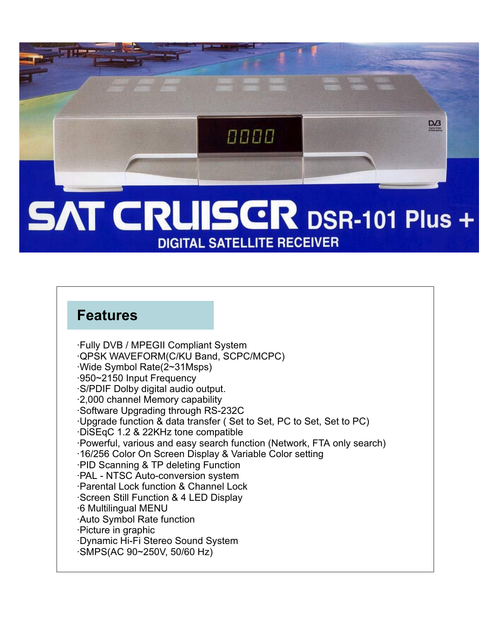

## **SAT CRUISCR DSR-101 Plus + DIGITAL SATELLITE RECEIVER**

## **Features**

·Fully DVB / MPEGII Compliant System ·QPSK WAVEFORM(C/KU Band, SCPC/MCPC) ·Wide Symbol Rate(2~31Msps) ·950~2150 Input Frequency ·S/PDIF Dolby digital audio output. ·2,000 channel Memory capability ·Software Upgrading through RS-232C ·Upgrade function & data transfer ( Set to Set, PC to Set, Set to PC) ·DiSEqC 1.2 & 22KHz tone compatible ·Powerful, various and easy search function (Network, FTA only search) ·16/256 Color On Screen Display & Variable Color setting ·PID Scanning & TP deleting Function ·PAL - NTSC Auto-conversion system ·Parental Lock function & Channel Lock ·Screen Still Function & 4 LED Display ·6 Multilingual MENU ·Auto Symbol Rate function ·Picture in graphic ·Dynamic Hi-Fi Stereo Sound System ·SMPS(AC 90~250V, 50/60 Hz)